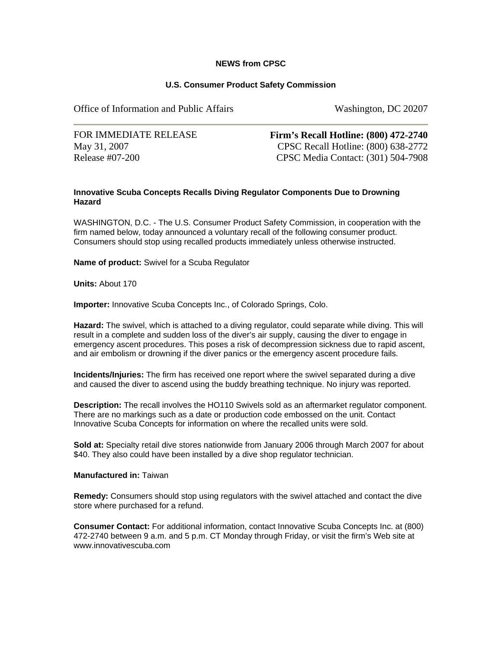## **NEWS from CPSC**

## **U.S. Consumer Product Safety Commission**

Office of Information and Public Affairs Washington, DC 20207

FOR IMMEDIATE RELEASE May 31, 2007 Release #07-200

**Firm's Recall Hotline: (800) 472-2740** CPSC Recall Hotline: (800) 638-2772 CPSC Media Contact: (301) 504-7908

## **Innovative Scuba Concepts Recalls Diving Regulator Components Due to Drowning Hazard**

WASHINGTON, D.C. - The U.S. Consumer Product Safety Commission, in cooperation with the firm named below, today announced a voluntary recall of the following consumer product. Consumers should stop using recalled products immediately unless otherwise instructed.

**Name of product:** Swivel for a Scuba Regulator

**Units:** About 170

**Importer:** Innovative Scuba Concepts Inc., of Colorado Springs, Colo.

**Hazard:** The swivel, which is attached to a diving regulator, could separate while diving. This will result in a complete and sudden loss of the diver's air supply, causing the diver to engage in emergency ascent procedures. This poses a risk of decompression sickness due to rapid ascent, and air embolism or drowning if the diver panics or the emergency ascent procedure fails.

**Incidents/Injuries:** The firm has received one report where the swivel separated during a dive and caused the diver to ascend using the buddy breathing technique. No injury was reported.

**Description:** The recall involves the HO110 Swivels sold as an aftermarket regulator component. There are no markings such as a date or production code embossed on the unit. Contact Innovative Scuba Concepts for information on where the recalled units were sold.

**Sold at:** Specialty retail dive stores nationwide from January 2006 through March 2007 for about \$40. They also could have been installed by a dive shop regulator technician.

**Manufactured in:** Taiwan

**Remedy:** Consumers should stop using regulators with the swivel attached and contact the dive store where purchased for a refund.

**Consumer Contact:** For additional information, contact Innovative Scuba Concepts Inc. at (800) 472-2740 between 9 a.m. and 5 p.m. CT Monday through Friday, or visit the firm's Web site at www.innovativescuba.com